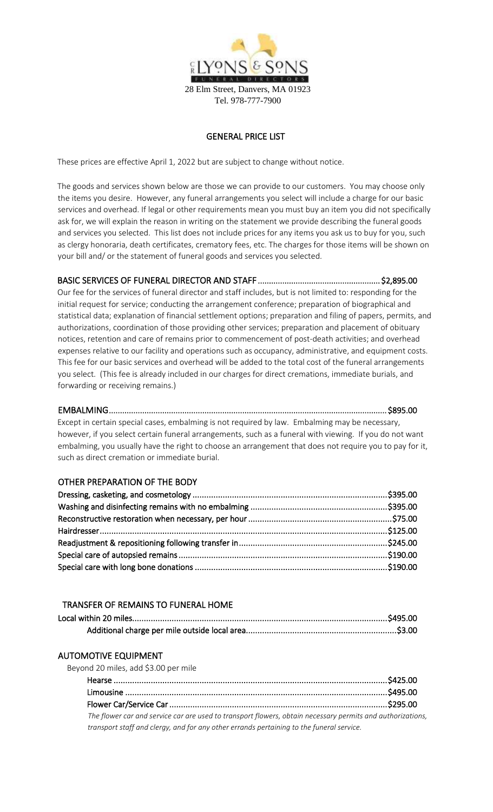

## GENERAL PRICE LIST

These prices are effective April 1, 2022 but are subject to change without notice.

The goods and services shown below are those we can provide to our customers. You may choose only the items you desire. However, any funeral arrangements you select will include a charge for our basic services and overhead. If legal or other requirements mean you must buy an item you did not specifically ask for, we will explain the reason in writing on the statement we provide describing the funeral goods and services you selected. This list does not include prices for any items you ask us to buy for you, such as clergy honoraria, death certificates, crematory fees, etc. The charges for those items will be shown on your bill and/ or the statement of funeral goods and services you selected.

# BASIC SERVICES OF FUNERAL DIRECTOR AND STAFF ....................................................... \$2,895.00

Our fee for the services of funeral director and staff includes, but is not limited to: responding for the initial request for service; conducting the arrangement conference; preparation of biographical and statistical data; explanation of financial settlement options; preparation and filing of papers, permits, and authorizations, coordination of those providing other services; preparation and placement of obituary notices, retention and care of remains prior to commencement of post-death activities; and overhead expenses relative to our facility and operations such as occupancy, administrative, and equipment costs. This fee for our basic services and overhead will be added to the total cost of the funeral arrangements you select. (This fee is already included in our charges for direct cremations, immediate burials, and forwarding or receiving remains.)

EMBALMING ............................................................................................................................. \$895.00 Except in certain special cases, embalming is not required by law. Embalming may be necessary, however, if you select certain funeral arrangements, such as a funeral with viewing. If you do not want embalming, you usually have the right to choose an arrangement that does not require you to pay for it, such as direct cremation or immediate burial.

## OTHER PREPARATION OF THE BODY

### TRANSFER OF REMAINS TO FUNERAL HOME

#### AUTOMOTIVE EQUIPMENT

| Beyond 20 miles, add \$3.00 per mile                                                                       |  |
|------------------------------------------------------------------------------------------------------------|--|
|                                                                                                            |  |
|                                                                                                            |  |
|                                                                                                            |  |
| The flower car and service car are used to transport flowers, obtain necessary permits and authorizations, |  |
| transport staff and clergy, and for any other errands pertaining to the funeral service.                   |  |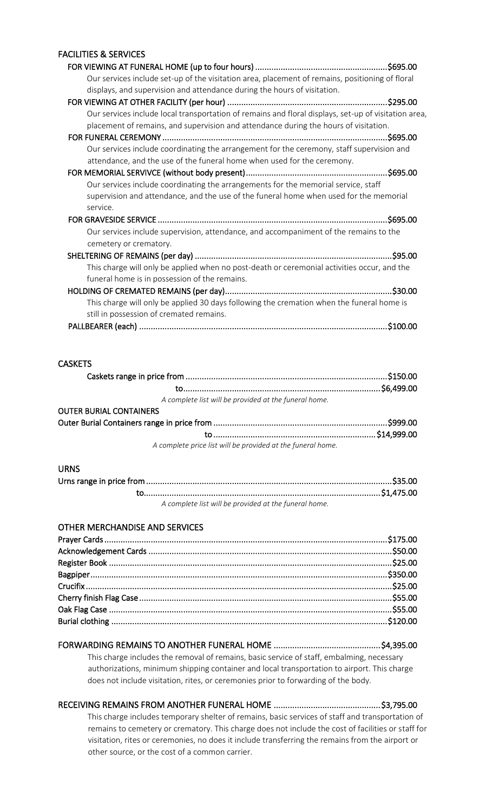## FACILITIES & SERVICES

| Our services include set-up of the visitation area, placement of remains, positioning of floral      |
|------------------------------------------------------------------------------------------------------|
| displays, and supervision and attendance during the hours of visitation.                             |
|                                                                                                      |
| Our services include local transportation of remains and floral displays, set-up of visitation area, |
| placement of remains, and supervision and attendance during the hours of visitation.                 |
|                                                                                                      |
| Our services include coordinating the arrangement for the ceremony, staff supervision and            |
| attendance, and the use of the funeral home when used for the ceremony.                              |
|                                                                                                      |
| Our services include coordinating the arrangements for the memorial service, staff                   |
| supervision and attendance, and the use of the funeral home when used for the memorial               |
| service.                                                                                             |
|                                                                                                      |
| Our services include supervision, attendance, and accompaniment of the remains to the                |
| cemetery or crematory.                                                                               |
|                                                                                                      |
| This charge will only be applied when no post-death or ceremonial activities occur, and the          |
| funeral home is in possession of the remains.                                                        |
|                                                                                                      |
| This charge will only be applied 30 days following the cremation when the funeral home is            |
| still in possession of cremated remains.                                                             |
|                                                                                                      |
|                                                                                                      |

# **CASKETS**

| A complete list will be provided at the funeral home.       |  |
|-------------------------------------------------------------|--|
| <b>OUTER BURIAL CONTAINERS</b>                              |  |
|                                                             |  |
|                                                             |  |
| A complete price list will be provided at the funeral home. |  |

#### URNS

| A complete list will be provided at the funeral home. |  |
|-------------------------------------------------------|--|

# OTHER MERCHANDISE AND SERVICES

# FORWARDING REMAINS TO ANOTHER FUNERAL HOME .............................................. \$4,395.00

This charge includes the removal of remains, basic service of staff, embalming, necessary authorizations, minimum shipping container and local transportation to airport. This charge does not include visitation, rites, or ceremonies prior to forwarding of the body.

# RECEIVING REMAINS FROM ANOTHER FUNERAL HOME .............................................. \$3,795.00

This charge includes temporary shelter of remains, basic services of staff and transportation of remains to cemetery or crematory. This charge does not include the cost of facilities or staff for visitation, rites or ceremonies, no does it include transferring the remains from the airport or other source, or the cost of a common carrier.